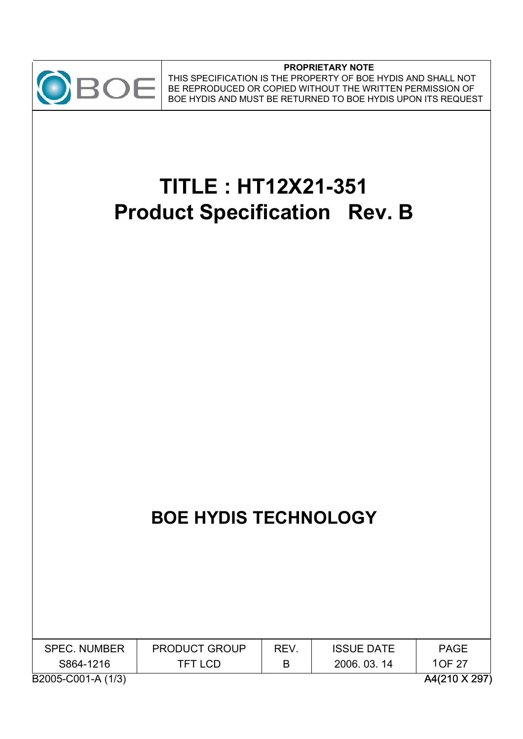

#### **PROPRIETARY NOTE** THIS SPECIFICATION IS THE PROPERTY OF BOE HYDIS AND SHALL NOT BE REPRODUCED OR COPIED WITHOUT THE WRITTEN PERMISSION OF BOE HYDIS AND MUST BE RETURNED TO BOE HYDIS UPON ITS REQUEST

# **TITLE : HT12X21-351 Product Specification Rev. B**

# **BOE HYDIS TECHNOLOGY**

| <b>SPEC. NUMBER</b> | <b>PRODUCT GROUP</b> | REV. | <b>ISSUE DATE</b> | PAGE          |
|---------------------|----------------------|------|-------------------|---------------|
| S864-1216           | <b>TFT LCD</b>       |      | 2006. 03. 14      | 1OF 27        |
| B2005-C001-A (1/3)  |                      |      |                   | A4(210 X 297) |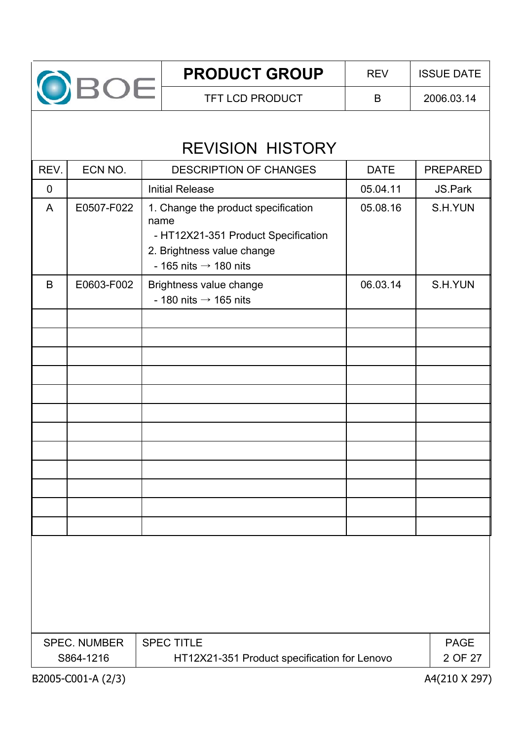

# REVISION HISTORY

| REV.        | ECN NO.                                                                                          | <b>DESCRIPTION OF CHANGES</b>                                                                                                                         | <b>DATE</b> | <b>PREPARED</b>        |  |  |
|-------------|--------------------------------------------------------------------------------------------------|-------------------------------------------------------------------------------------------------------------------------------------------------------|-------------|------------------------|--|--|
| $\mathbf 0$ |                                                                                                  | <b>Initial Release</b>                                                                                                                                | 05.04.11    | JS.Park                |  |  |
| A           | E0507-F022                                                                                       | 1. Change the product specification<br>name<br>- HT12X21-351 Product Specification<br>2. Brightness value change<br>- 165 nits $\rightarrow$ 180 nits | 05.08.16    | S.H.YUN                |  |  |
| B           | E0603-F002                                                                                       | Brightness value change<br>- 180 nits $\rightarrow$ 165 nits                                                                                          | 06.03.14    | S.H.YUN                |  |  |
|             |                                                                                                  |                                                                                                                                                       |             |                        |  |  |
|             |                                                                                                  |                                                                                                                                                       |             |                        |  |  |
|             |                                                                                                  |                                                                                                                                                       |             |                        |  |  |
|             |                                                                                                  |                                                                                                                                                       |             |                        |  |  |
|             |                                                                                                  |                                                                                                                                                       |             |                        |  |  |
|             |                                                                                                  |                                                                                                                                                       |             |                        |  |  |
|             |                                                                                                  |                                                                                                                                                       |             |                        |  |  |
|             |                                                                                                  |                                                                                                                                                       |             |                        |  |  |
|             | <b>SPEC. NUMBER</b>                                                                              | <b>SPEC TITLE</b>                                                                                                                                     |             | <b>PAGE</b><br>2 OF 27 |  |  |
|             | S864-1216<br>HT12X21-351 Product specification for Lenovo<br>B2005-C001-A (2/3)<br>A4(210 X 297) |                                                                                                                                                       |             |                        |  |  |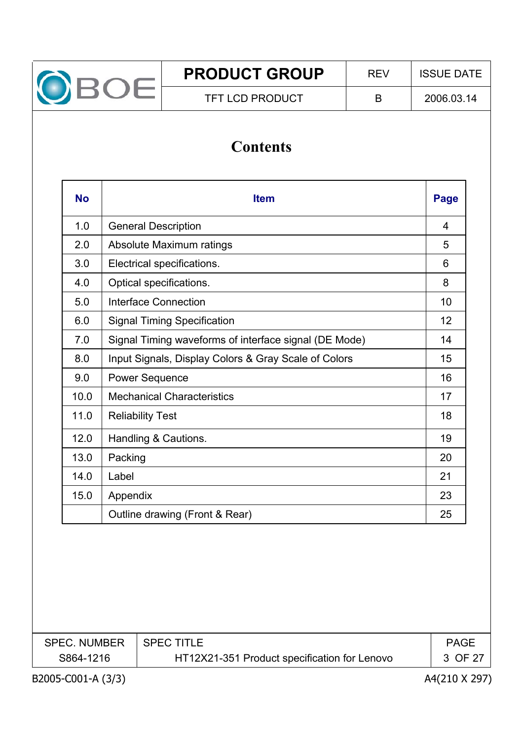

# **Contents**

| <b>No</b> | <b>Item</b>                                           |    |  |  |  |  |
|-----------|-------------------------------------------------------|----|--|--|--|--|
| 1.0       | <b>General Description</b>                            | 4  |  |  |  |  |
| 2.0       | Absolute Maximum ratings                              | 5  |  |  |  |  |
| 3.0       | Electrical specifications.                            | 6  |  |  |  |  |
| 4.0       | Optical specifications.                               | 8  |  |  |  |  |
| 5.0       | Interface Connection                                  | 10 |  |  |  |  |
| 6.0       | <b>Signal Timing Specification</b>                    | 12 |  |  |  |  |
| 7.0       | Signal Timing waveforms of interface signal (DE Mode) | 14 |  |  |  |  |
| 8.0       | Input Signals, Display Colors & Gray Scale of Colors  | 15 |  |  |  |  |
| 9.0       | <b>Power Sequence</b>                                 | 16 |  |  |  |  |
| 10.0      | <b>Mechanical Characteristics</b>                     | 17 |  |  |  |  |
| 11.0      | <b>Reliability Test</b>                               | 18 |  |  |  |  |
| 12.0      | Handling & Cautions.                                  | 19 |  |  |  |  |
| 13.0      | Packing                                               | 20 |  |  |  |  |
| 14.0      | Label                                                 | 21 |  |  |  |  |
| 15.0      | Appendix                                              | 23 |  |  |  |  |
|           | Outline drawing (Front & Rear)                        | 25 |  |  |  |  |

| <b>SPEC. NUMBER</b> | I SPEC TITLE.                                | <b>PAGE</b> |
|---------------------|----------------------------------------------|-------------|
| S864-1216           | HT12X21-351 Product specification for Lenovo | 3 OF 27     |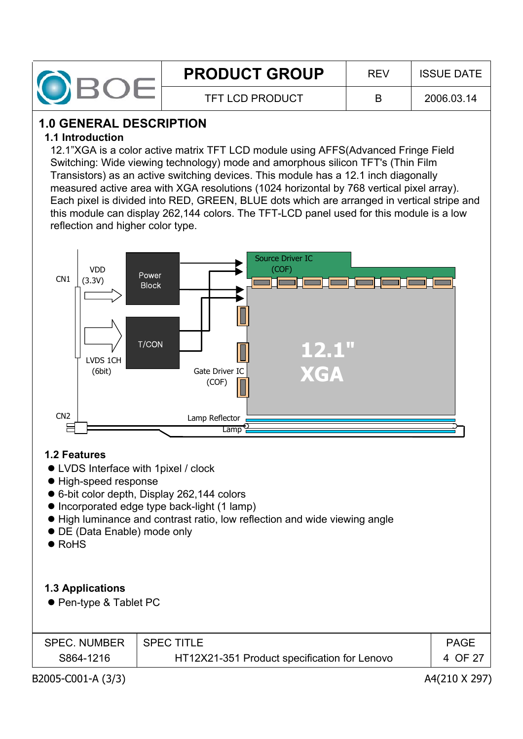

# **1.0 GENERAL DESCRIPTION**

#### **1.1 Introduction**

12.1"XGA is a color active matrix TFT LCD module using AFFS(Advanced Fringe Field Switching: Wide viewing technology) mode and amorphous silicon TFT's (Thin Film Transistors) as an active switching devices. This module has a 12.1 inch diagonally measured active area with XGA resolutions (1024 horizontal by 768 vertical pixel array). Each pixel is divided into RED, GREEN, BLUE dots which are arranged in vertical stripe and this module can display 262,144 colors. The TFT-LCD panel used for this module is a low reflection and higher color type.



#### **1.2 Features**

- LVDS Interface with 1 pixel / clock
- $\bullet$  High-speed response
- 6-bit color depth, Display 262,144 colors
- Incorporated edge type back-light (1 lamp)
- High luminance and contrast ratio, low reflection and wide viewing angle
- DE (Data Enable) mode only
- RoHS

# **1.3 Applications**

● Pen-type & Tablet PC

| <b>SPEC. NUMBER</b> | <b>SPEC TITLE</b>                            | <b>PAGE</b> |
|---------------------|----------------------------------------------|-------------|
| S864-1216           | HT12X21-351 Product specification for Lenovo | 4 OF 27     |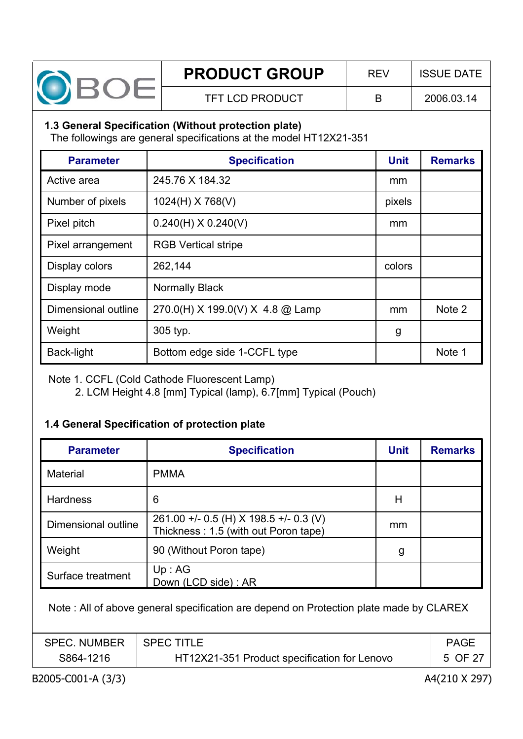

#### **1.3 General Specification (Without protection plate)**

The followings are general specifications at the model HT12X21-351

| <b>Parameter</b>    | <b>Specification</b>             | <b>Unit</b> | <b>Remarks</b> |
|---------------------|----------------------------------|-------------|----------------|
| Active area         | 245.76 X 184.32                  | mm          |                |
| Number of pixels    | 1024(H) X 768(V)                 | pixels      |                |
| Pixel pitch         | $0.240(H)$ X $0.240(V)$          | mm          |                |
| Pixel arrangement   | <b>RGB Vertical stripe</b>       |             |                |
| Display colors      | 262,144                          | colors      |                |
| Display mode        | <b>Normally Black</b>            |             |                |
| Dimensional outline | 270.0(H) X 199.0(V) X 4.8 @ Lamp | mm          | Note 2         |
| Weight              | 305 typ.                         | g           |                |
| Back-light          | Bottom edge side 1-CCFL type     |             | Note 1         |

Note 1. CCFL (Cold Cathode Fluorescent Lamp)

2. LCM Height 4.8 [mm] Typical (lamp), 6.7[mm] Typical (Pouch)

#### **1.4 General Specification of protection plate**

| <b>Parameter</b>    | <b>Specification</b>                                                           | <b>Unit</b> | <b>Remarks</b> |
|---------------------|--------------------------------------------------------------------------------|-------------|----------------|
| <b>Material</b>     | <b>PMMA</b>                                                                    |             |                |
| <b>Hardness</b>     | 6                                                                              | Н           |                |
| Dimensional outline | 261.00 +/- 0.5 (H) X 198.5 +/- 0.3 (V)<br>Thickness: 1.5 (with out Poron tape) | mm          |                |
| Weight              | 90 (Without Poron tape)                                                        | g           |                |
| Surface treatment   | Up:AG<br>Down (LCD side): AR                                                   |             |                |

Note : All of above general specification are depend on Protection plate made by CLAREX

| <b>SPEC. NUMBER</b> | <b>SPEC TITLE</b>                            | <b>PAGE</b> |
|---------------------|----------------------------------------------|-------------|
| S864-1216           | HT12X21-351 Product specification for Lenovo | 5 OF 27     |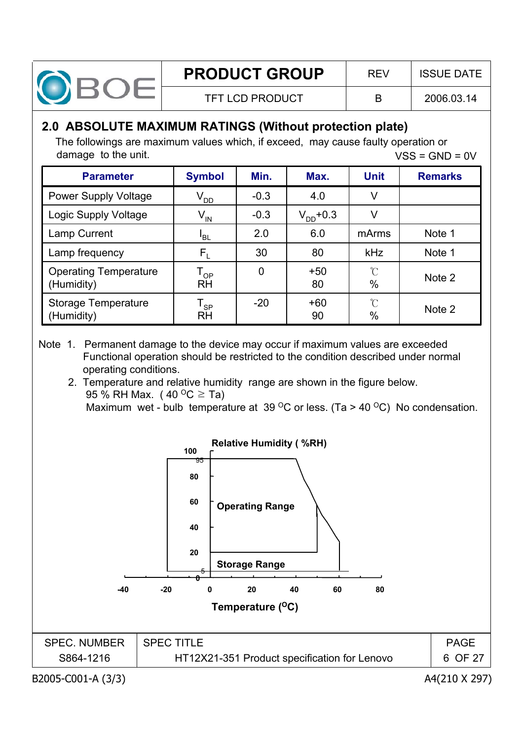

# **2.0 ABSOLUTE MAXIMUM RATINGS (Without protection plate)**

The followings are maximum values which, if exceed, may cause faulty operation or damage to the unit.  $VSS = GND = 0V$ 

| <b>Parameter</b>                           | <b>Symbol</b>                | Min.           | Max.          | <b>Unit</b>              | <b>Remarks</b> |
|--------------------------------------------|------------------------------|----------------|---------------|--------------------------|----------------|
| <b>Power Supply Voltage</b>                | $V_{DD}$                     | $-0.3$         | 4.0           | V                        |                |
| Logic Supply Voltage                       | $V_{IN}$                     | $-0.3$         | $V_{DD}$ +0.3 | V                        |                |
| Lamp Current                               | <sup>I</sup> BL              | 2.0            | 6.0           | mArms                    | Note 1         |
| Lamp frequency                             | $F_L$                        | 30             | 80            | kHz                      | Note 1         |
| <b>Operating Temperature</b><br>(Humidity) | T <sub>op</sub><br>RH        | $\overline{0}$ | $+50$<br>80   | $\int_{0}^{\infty}$<br>% | Note 2         |
| Storage Temperature<br>(Humidity)          | l <sub>SP</sub><br><b>RH</b> | $-20$          | $+60$<br>90   | $\Upsilon$<br>$\%$       | Note 2         |

- Note 1. Permanent damage to the device may occur if maximum values are exceeded Functional operation should be restricted to the condition described under normal operating conditions.
	- 2. Temperature and relative humidity range are shown in the figure below. 95 % RH Max. (40  $^{\circ}$ C  $\geq$  Ta) Maximum wet - bulb temperature at 39  $\mathrm{^{\circ}C}$  or less. (Ta > 40  $\mathrm{^{\circ}C}$ ) No condensation.

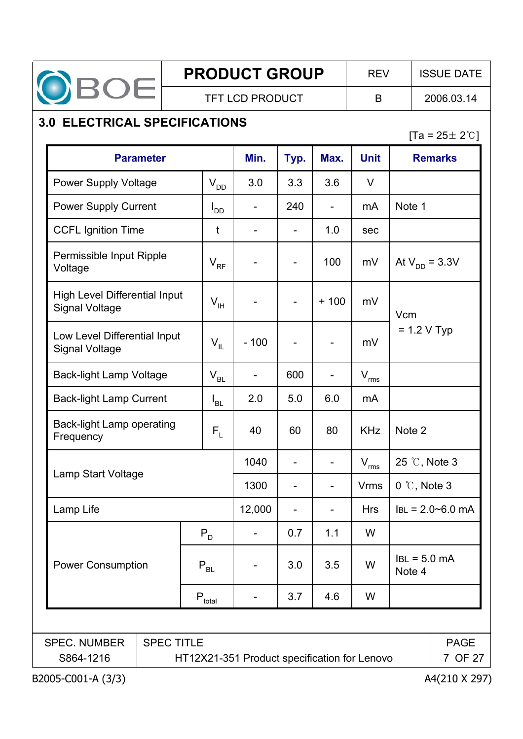

# **3.0 ELECTRICAL SPECIFICATIONS**

 $[Ta = 25 \pm 2^{\circ}C]$ 

| <b>Parameter</b>                                              |                                                         |                            | Min.   | Typ.                     | Max.                     | <b>Unit</b>                 | <b>Remarks</b>                 |
|---------------------------------------------------------------|---------------------------------------------------------|----------------------------|--------|--------------------------|--------------------------|-----------------------------|--------------------------------|
| <b>Power Supply Voltage</b>                                   |                                                         | $\mathsf{V}_{\mathsf{DD}}$ | 3.0    | 3.3                      | 3.6                      | $\vee$                      |                                |
| <b>Power Supply Current</b>                                   |                                                         | $I_{DD}$                   |        | 240                      | $\overline{a}$           | m <sub>A</sub>              | Note 1                         |
| <b>CCFL Ignition Time</b>                                     |                                                         | t                          |        |                          | 1.0                      | sec                         |                                |
| Permissible Input Ripple<br>Voltage                           |                                                         | $V_{RF}$                   |        | $\blacksquare$           | 100                      | mV                          | At $V_{DD} = 3.3V$             |
| <b>High Level Differential Input</b><br><b>Signal Voltage</b> |                                                         | $V_{\rm IH}$               |        |                          | $+100$                   | mV                          | Vcm                            |
| Low Level Differential Input<br><b>Signal Voltage</b>         |                                                         | $V_{IL}$                   | $-100$ |                          | $\overline{\phantom{0}}$ | mV                          | $= 1.2 V$ Typ                  |
| <b>Back-light Lamp Voltage</b>                                |                                                         | $V_{BL}$                   |        | 600                      |                          | $\mathsf{V}_{\mathsf{rms}}$ |                                |
| <b>Back-light Lamp Current</b>                                |                                                         | $I_{BL}$                   | 2.0    | 5.0                      | 6.0                      | mA                          |                                |
| Back-light Lamp operating<br>Frequency                        |                                                         | $F_L$                      | 40     | 60                       | 80                       | <b>KHz</b>                  | Note 2                         |
|                                                               |                                                         |                            | 1040   | $\overline{\phantom{a}}$ | $\overline{\phantom{0}}$ | $\mathsf{V}_{\mathsf{rms}}$ | 25 °C, Note 3                  |
| Lamp Start Voltage                                            |                                                         |                            | 1300   |                          | $\overline{a}$           | <b>Vrms</b>                 | $0 \text{ }^{\circ}$ C, Note 3 |
| Lamp Life                                                     |                                                         |                            | 12,000 |                          | $\overline{a}$           | <b>Hrs</b>                  | $IBL = 2.0 - 6.0$ mA           |
|                                                               | $P_{D}$                                                 |                            |        | 0.7                      | 1.1                      | W                           |                                |
| <b>Power Consumption</b><br>$P_{BL}$                          |                                                         |                            |        | 3.0                      | 3.5                      | W                           | $ BL = 5.0$ mA<br>Note 4       |
|                                                               | $P_{total}$                                             |                            |        | 3.7                      | 4.6                      | W                           |                                |
| <b>SPEC TITLE</b><br><b>SPEC. NUMBER</b><br><b>PAGE</b>       |                                                         |                            |        |                          |                          |                             |                                |
| S864-1216                                                     | HT12X21-351 Product specification for Lenovo<br>7 OF 27 |                            |        |                          |                          |                             |                                |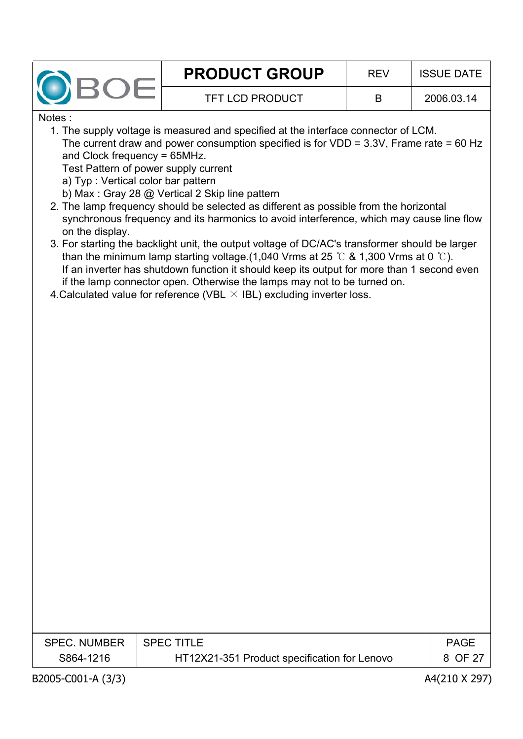

Notes :

1. The supply voltage is measured and specified at the interface connector of LCM. The current draw and power consumption specified is for  $VDD = 3.3V$ , Frame rate = 60 Hz and Clock frequency = 65MHz.

Test Pattern of power supply current

a) Typ : Vertical color bar pattern

b) Max : Gray 28 @ Vertical 2 Skip line pattern

- 2. The lamp frequency should be selected as different as possible from the horizontal synchronous frequency and its harmonics to avoid interference, which may cause line flow on the display.
- 3. For starting the backlight unit, the output voltage of DC/AC's transformer should be larger than the minimum lamp starting voltage.(1,040 Vrms at 25  $\degree$  & 1,300 Vrms at 0  $\degree$ ). If an inverter has shutdown function it should keep its output for more than 1 second even if the lamp connector open. Otherwise the lamps may not to be turned on.
- 4. Calculated value for reference (VBL  $\times$  IBL) excluding inverter loss.

| <b>SPEC. NUMBER</b> | $\,$ SPEC TITLE                              | <b>PAGE</b> |
|---------------------|----------------------------------------------|-------------|
| S864-1216           | HT12X21-351 Product specification for Lenovo | 8 OF 27     |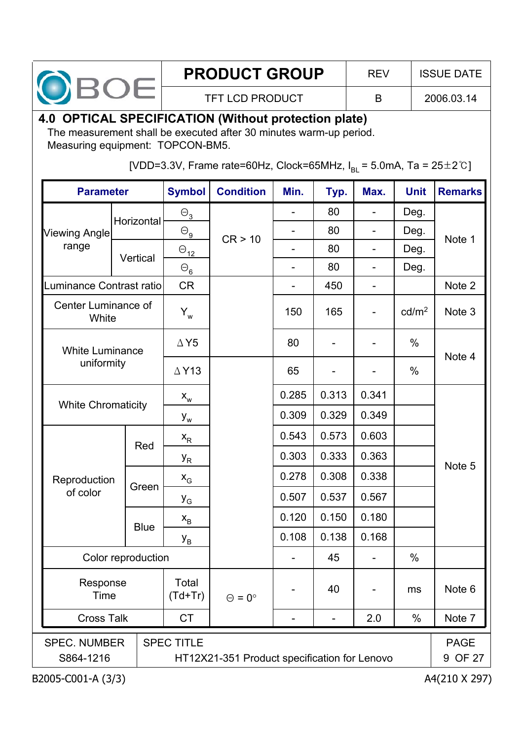

# **4.0 OPTICAL SPECIFICATION (Without protection plate)**

The measurement shall be executed after 30 minutes warm-up period. Measuring equipment: TOPCON-BM5.

[VDD=3.3V, Frame rate=60Hz, Clock=65MHz,  $I_{BI} = 5.0$ mA, Ta = 25 $\pm$ 2°C]

| <b>Parameter</b>                                      |  |                    | <b>Symbol</b>                | <b>Condition</b>                             | Min.                     | Typ.  | Max.  | <b>Unit</b>       | <b>Remarks</b>         |
|-------------------------------------------------------|--|--------------------|------------------------------|----------------------------------------------|--------------------------|-------|-------|-------------------|------------------------|
|                                                       |  | Horizontal         | $\Theta_{3}$                 |                                              | $\overline{\phantom{0}}$ | 80    |       | Deg.              |                        |
| Viewing Angle                                         |  |                    | $\Theta_{\underline{\bf g}}$ | CR > 10                                      |                          | 80    |       | Deg.              |                        |
| range                                                 |  | Vertical           | $\Theta_{12}$                |                                              |                          | 80    |       | Deg.              | Note 1                 |
|                                                       |  |                    | $\Theta_{\underline{6}}$     |                                              |                          | 80    |       | Deg.              |                        |
| Luminance Contrast ratio                              |  |                    | <b>CR</b>                    |                                              |                          | 450   |       |                   | Note 2                 |
| Center Luminance of<br>White                          |  |                    | $Y_w$                        |                                              | 150                      | 165   |       | cd/m <sup>2</sup> | Note 3                 |
| <b>White Luminance</b>                                |  |                    | $\Delta$ Y5                  |                                              | 80                       |       |       | $\%$              | Note 4                 |
| uniformity                                            |  |                    | $\triangle$ Y13              |                                              | 65                       |       |       | %                 |                        |
|                                                       |  |                    | $X_{w}$                      |                                              | 0.285                    | 0.313 | 0.341 |                   |                        |
| <b>White Chromaticity</b>                             |  |                    | $Y_w$                        |                                              | 0.309                    | 0.329 | 0.349 |                   |                        |
|                                                       |  |                    | $X_R$                        |                                              | 0.543                    | 0.573 | 0.603 |                   |                        |
|                                                       |  | Red                | У <sub>R</sub>               |                                              | 0.303                    | 0.333 | 0.363 |                   |                        |
| Reproduction                                          |  | Green              | $\mathsf{x}_{\mathsf{G}}$    |                                              | 0.278                    | 0.308 | 0.338 |                   | Note 5                 |
| of color                                              |  |                    | $y_{G}$                      |                                              | 0.507                    | 0.537 | 0.567 |                   |                        |
|                                                       |  | <b>Blue</b>        | $\mathbf{x}_{\rm B}$         |                                              | 0.120                    | 0.150 | 0.180 |                   |                        |
|                                                       |  |                    | У <sub>в</sub>               |                                              | 0.108                    | 0.138 | 0.168 |                   |                        |
| Color reproduction                                    |  |                    |                              |                                              |                          | 45    |       | %                 |                        |
| Response<br>Time                                      |  | Total<br>$(Td+Tr)$ | $\Theta = 0^{\circ}$         |                                              | 40                       |       | ms    | Note 6            |                        |
| <b>Cross Talk</b>                                     |  |                    | <b>CT</b>                    |                                              | -                        | -     | 2.0   | $\%$              | Note 7                 |
| <b>SPEC. NUMBER</b><br><b>SPEC TITLE</b><br>S864-1216 |  |                    |                              | HT12X21-351 Product specification for Lenovo |                          |       |       |                   | <b>PAGE</b><br>9 OF 27 |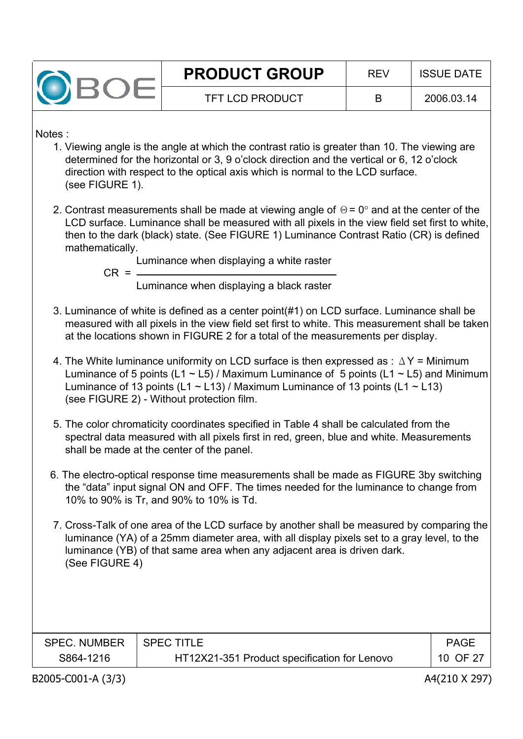

Notes :

- 1. Viewing angle is the angle at which the contrast ratio is greater than 10. The viewing are determined for the horizontal or 3, 9 o'clock direction and the vertical or 6, 12 o'clock direction with respect to the optical axis which is normal to the LCD surface. (see FIGURE 1).
- 2. Contrast measurements shall be made at viewing angle of  $\Theta$  = 0 $^{\circ}$  and at the center of the LCD surface. Luminance shall be measured with all pixels in the view field set first to white, then to the dark (black) state. (See FIGURE 1) Luminance Contrast Ratio (CR) is defined mathematically.

Luminance when displaying a white raster

 $CR =$ 

Luminance when displaying a black raster

- 3. Luminance of white is defined as a center point(#1) on LCD surface. Luminance shall be measured with all pixels in the view field set first to white. This measurement shall be taken at the locations shown in FIGURE 2 for a total of the measurements per display.
- 4. The White luminance uniformity on LCD surface is then expressed as :  $\Delta Y$  = Minimum Luminance of 5 points (L1  $\sim$  L5) / Maximum Luminance of 5 points (L1  $\sim$  L5) and Minimum Luminance of 13 points (L1  $\sim$  L13) / Maximum Luminance of 13 points (L1  $\sim$  L13) (see FIGURE 2) - Without protection film.
- 5. The color chromaticity coordinates specified in Table 4 shall be calculated from the spectral data measured with all pixels first in red, green, blue and white. Measurements shall be made at the center of the panel.
- 6. The electro-optical response time measurements shall be made as FIGURE 3by switching the "data" input signal ON and OFF. The times needed for the luminance to change from 10% to 90% is Tr, and 90% to 10% is Td.
- 7. Cross-Talk of one area of the LCD surface by another shall be measured by comparing the luminance (YA) of a 25mm diameter area, with all display pixels set to a gray level, to the luminance (YB) of that same area when any adjacent area is driven dark. (See FIGURE 4)

| <b>SPEC. NUMBER</b> | <b>SPEC TITLE</b>                            | <b>PAGE</b> |
|---------------------|----------------------------------------------|-------------|
| S864-1216           | HT12X21-351 Product specification for Lenovo | 10 OF 27    |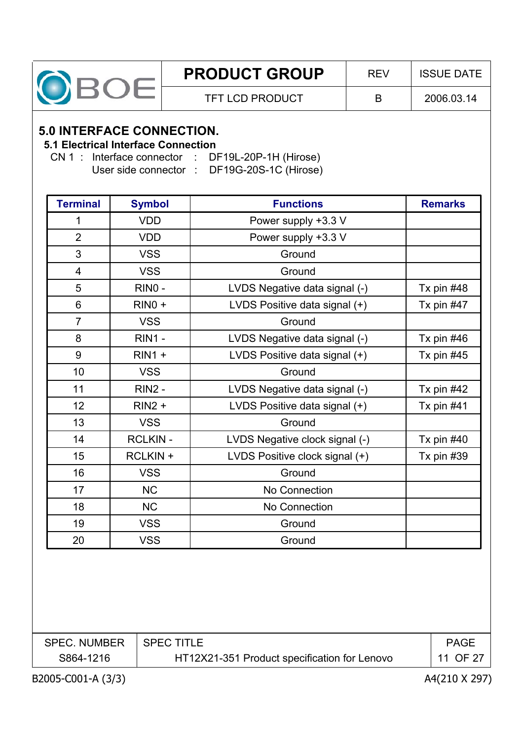

#### **5.0 INTERFACE CONNECTION.**

#### **5.1 Electrical Interface Connection**

CN 1 : Interface connector : DF19L-20P-1H (Hirose) User side connector : DF19G-20S-1C (Hirose)

| <b>Terminal</b> | <b>Symbol</b>  | <b>Functions</b>               | <b>Remarks</b> |
|-----------------|----------------|--------------------------------|----------------|
| 1               | <b>VDD</b>     | Power supply +3.3 V            |                |
| $\overline{2}$  | <b>VDD</b>     | Power supply +3.3 V            |                |
| 3               | <b>VSS</b>     | Ground                         |                |
| $\overline{4}$  | <b>VSS</b>     | Ground                         |                |
| 5               | RINO-          | LVDS Negative data signal (-)  | Tx pin $#48$   |
| 6               | $RINO +$       | LVDS Positive data signal (+)  | Tx pin #47     |
| $\overline{7}$  | <b>VSS</b>     | Ground                         |                |
| 8               | <b>RIN1 -</b>  | LVDS Negative data signal (-)  | Tx pin $#46$   |
| 9               | $RIN1 +$       | LVDS Positive data signal (+)  | Tx pin $#45$   |
| 10              | <b>VSS</b>     | Ground                         |                |
| 11              | <b>RIN2 -</b>  | LVDS Negative data signal (-)  | Tx pin $#42$   |
| 12              | $RIN2 +$       | LVDS Positive data signal (+)  | Tx pin $#41$   |
| 13              | <b>VSS</b>     | Ground                         |                |
| 14              | <b>RCLKIN-</b> | LVDS Negative clock signal (-) | Tx pin $#40$   |
| 15              | RCLKIN +       | LVDS Positive clock signal (+) | Tx pin $#39$   |
| 16              | <b>VSS</b>     | Ground                         |                |
| 17              | <b>NC</b>      | No Connection                  |                |
| 18              | <b>NC</b>      | No Connection                  |                |
| 19              | <b>VSS</b>     | Ground                         |                |
| 20              | <b>VSS</b>     | Ground                         |                |

| <b>SPEC. NUMBER</b> | I SPEC TITLE                                 | <b>PAGE</b> |
|---------------------|----------------------------------------------|-------------|
| S864-1216           | HT12X21-351 Product specification for Lenovo | 11 OF 27    |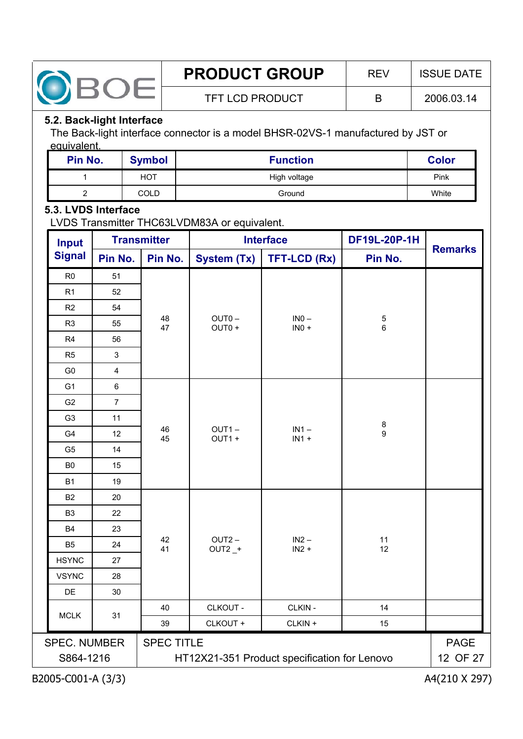

#### **5.2. Back-light Interface**

The Back-light interface connector is a model BHSR-02VS-1 manufactured by JST or equivalent.

| Pin No. | <b>Symbol</b> | <b>Function</b> | <b>Color</b> |
|---------|---------------|-----------------|--------------|
|         | <b>HOT</b>    | High voltage    | Pink         |
| ⌒       | COLD          | Ground          | White        |

#### **5.3. LVDS Interface**

LVDS Transmitter THC63LVDM83A or equivalent.

| <b>Input</b>                     |                         | <b>Transmitter</b> | <b>Interface</b>            |                                              | DF19L-20P-1H         |                         |  |
|----------------------------------|-------------------------|--------------------|-----------------------------|----------------------------------------------|----------------------|-------------------------|--|
| <b>Signal</b>                    | Pin No.                 | Pin No.            | <b>System (Tx)</b>          | <b>TFT-LCD (Rx)</b>                          | Pin No.              | <b>Remarks</b>          |  |
| R <sub>0</sub>                   | 51                      |                    |                             |                                              |                      |                         |  |
| R1                               | 52                      |                    |                             |                                              |                      |                         |  |
| R2                               | 54                      |                    |                             |                                              |                      |                         |  |
| R <sub>3</sub>                   | 55                      | 48<br>47           | OUT <sub>0</sub> -<br>OUT0+ | $INO -$<br>$INO +$                           | $\,$ 5 $\,$<br>$\,6$ |                         |  |
| R4                               | 56                      |                    |                             |                                              |                      |                         |  |
| R <sub>5</sub>                   | 3                       |                    |                             |                                              |                      |                         |  |
| G <sub>0</sub>                   | $\overline{\mathbf{4}}$ |                    |                             |                                              |                      |                         |  |
| G <sub>1</sub>                   | $\,6\,$                 |                    |                             |                                              |                      |                         |  |
| G <sub>2</sub>                   | $\overline{7}$          |                    |                             |                                              |                      |                         |  |
| G <sub>3</sub>                   | 11                      |                    |                             |                                              | $\bf 8$              |                         |  |
| G <sub>4</sub>                   | 12                      | 46<br>45           | $OUT1 -$<br>OUT1+           | $IN1 -$<br>$IN1 +$                           | $\overline{9}$       |                         |  |
| G5                               | 14                      |                    |                             |                                              |                      |                         |  |
| B <sub>0</sub>                   | 15                      |                    |                             |                                              |                      |                         |  |
| <b>B1</b>                        | 19                      |                    |                             |                                              |                      |                         |  |
| <b>B2</b>                        | 20                      |                    |                             |                                              |                      |                         |  |
| B <sub>3</sub>                   | 22                      |                    |                             |                                              |                      |                         |  |
| <b>B4</b>                        | 23                      |                    |                             |                                              |                      |                         |  |
| B <sub>5</sub>                   | 24                      | 42<br>41           | $OUT2 -$<br>$OUT2 _ +$      | $IN2 -$<br>$IN2 +$                           | 11<br>12             |                         |  |
| <b>HSYNC</b>                     | 27                      |                    |                             |                                              |                      |                         |  |
| <b>VSYNC</b>                     | 28                      |                    |                             |                                              |                      |                         |  |
| DE                               | 30                      |                    |                             |                                              |                      |                         |  |
| <b>MCLK</b>                      | 31                      | 40                 | CLKOUT -                    | CLKIN-                                       | 14                   |                         |  |
|                                  |                         | 39                 | CLKOUT +                    | CLKIN +                                      | 15                   |                         |  |
| <b>SPEC. NUMBER</b><br>S864-1216 |                         | <b>SPEC TITLE</b>  |                             | HT12X21-351 Product specification for Lenovo |                      | <b>PAGE</b><br>12 OF 27 |  |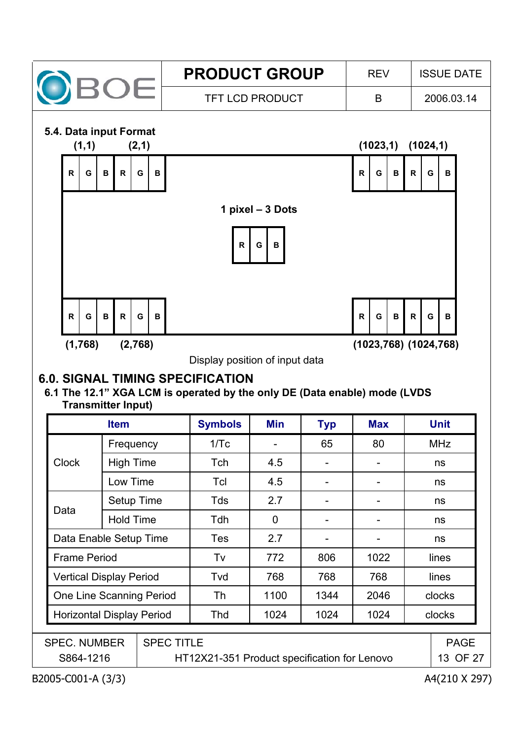

Display position of input data

# **6.0. SIGNAL TIMING SPECIFICATION**

#### **6.1 The 12.1" XGA LCM is operated by the only DE (Data enable) mode (LVDS Transmitter Input)**

|                                  | <b>Item</b>      |                   | <b>Symbols</b>                               | Min  | <b>Typ</b> | <b>Max</b> | <b>Unit</b> |
|----------------------------------|------------------|-------------------|----------------------------------------------|------|------------|------------|-------------|
|                                  | Frequency        |                   | 1/Tc                                         |      | 65         | 80         | <b>MHz</b>  |
| <b>Clock</b>                     | <b>High Time</b> |                   | Tch                                          | 4.5  |            |            | ns          |
|                                  | Low Time         |                   | Tcl                                          | 4.5  |            |            | ns          |
|                                  | Setup Time       |                   | Tds                                          | 2.7  |            |            | ns          |
| Data<br><b>Hold Time</b>         |                  |                   | Tdh                                          | 0    |            |            | ns          |
| Data Enable Setup Time           |                  | <b>Tes</b>        | 2.7                                          |      |            | ns         |             |
| <b>Frame Period</b>              |                  | Tv                | 772                                          | 806  | 1022       | lines      |             |
| <b>Vertical Display Period</b>   |                  | Tvd               | 768                                          | 768  | 768        | lines      |             |
| One Line Scanning Period         |                  | Th                | 1100                                         | 1344 | 2046       | clocks     |             |
| <b>Horizontal Display Period</b> |                  | Thd               | 1024                                         | 1024 | 1024       | clocks     |             |
|                                  |                  |                   |                                              |      |            |            |             |
| <b>SPEC. NUMBER</b>              |                  | <b>SPEC TITLE</b> |                                              |      |            |            | <b>PAGE</b> |
| S864-1216                        |                  |                   | HT12X21-351 Product specification for Lenovo |      |            |            | 13 OF 27    |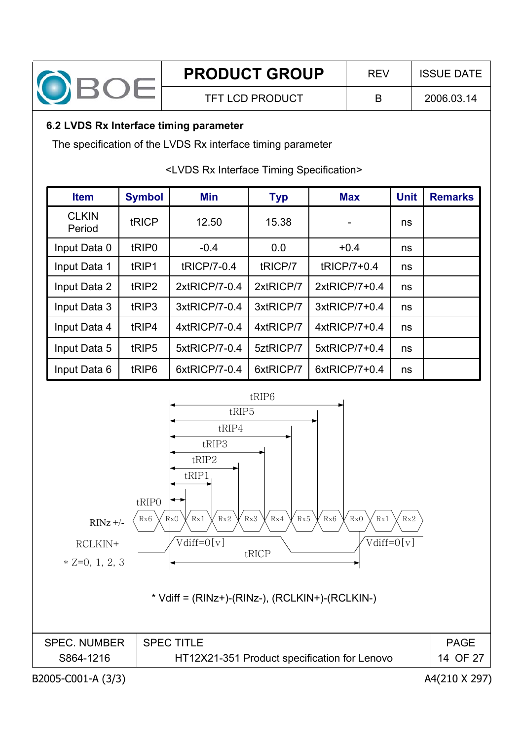

# **6.2 LVDS Rx Interface timing parameter**

The specification of the LVDS Rx interface timing parameter

<LVDS Rx Interface Timing Specification>

| <b>Item</b>            | <b>Symbol</b>     | Min           | <b>Typ</b> | <b>Max</b>       | <b>Unit</b> | <b>Remarks</b> |
|------------------------|-------------------|---------------|------------|------------------|-------------|----------------|
| <b>CLKIN</b><br>Period | tRICP             | 12.50         | 15.38      |                  | ns          |                |
| Input Data 0           | tRIP <sub>0</sub> | $-0.4$        | 0.0        | $+0.4$           | ns          |                |
| Input Data 1           | tRIP1             | tRICP/7-0.4   | tRICP/7    | tRICP/7+0.4      | ns          |                |
| Input Data 2           | tRIP <sub>2</sub> | 2xtRICP/7-0.4 | 2xtRICP/7  | 2xtRICP/7+0.4    | ns          |                |
| Input Data 3           | tRIP3             | 3xtRICP/7-0.4 | 3xtRICP/7  | 3xtRICP/7+0.4    | ns          |                |
| Input Data 4           | tRIP4             | 4xtRICP/7-0.4 | 4xtRICP/7  | $4x$ tRICP/7+0.4 | ns          |                |
| Input Data 5           | tRIP5             | 5xtRICP/7-0.4 | 5ztRICP/7  | 5xtRICP/7+0.4    | ns          |                |
| Input Data 6           | tRIP <sub>6</sub> | 6xtRICP/7-0.4 | 6xtRICP/7  | 6xtRICP/7+0.4    | ns          |                |



| <b>SPEC. NUMBER</b> | <b>SPEC TITLE</b>                            | <b>PAGE</b> |
|---------------------|----------------------------------------------|-------------|
| S864-1216           | HT12X21-351 Product specification for Lenovo | 14 OF 27    |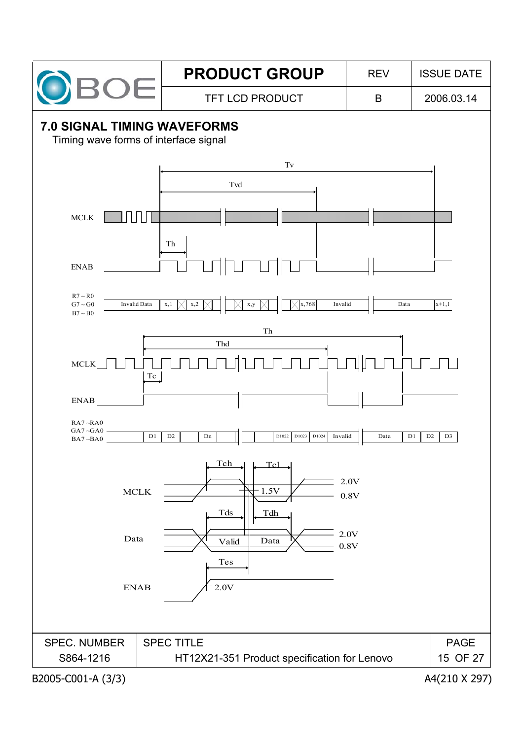

# **PRODUCT GROUP** REV ISSUE DATE

TFT LCD PRODUCT B 2006.03.14

# **7.0 SIGNAL TIMING WAVEFORMS**

Timing wave forms of interface signal

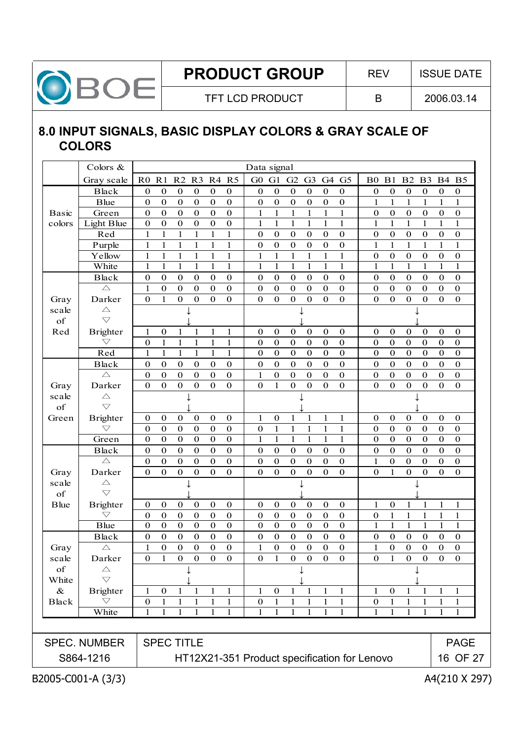

### **8.0 INPUT SIGNALS, BASIC DISPLAY COLORS & GRAY SCALE OF COLORS**

| G1<br>G0<br>G2<br>G4<br>G <sub>5</sub><br>G <sub>3</sub><br>$\boldsymbol{0}$<br>$\boldsymbol{0}$<br>$\boldsymbol{0}$<br>$\boldsymbol{0}$<br>$\boldsymbol{0}$<br>$\boldsymbol{0}$<br>$\boldsymbol{0}$<br>$\boldsymbol{0}$<br>$\boldsymbol{0}$<br>$\boldsymbol{0}$<br>$\boldsymbol{0}$<br>$\boldsymbol{0}$<br>$\mathbf{1}$<br>$\mathbf{1}$<br>$\mathbf{1}$<br>$\mathbf{1}$<br>$\mathbf{1}$<br>$\mathbf{1}$<br>$\mathbf{1}$<br>$\mathbf{1}$<br>$\mathbf{1}$<br>$\mathbf{1}$<br>$\mathbf{1}$<br>$\mathbf{1}$<br>$\boldsymbol{0}$<br>$\boldsymbol{0}$<br>$\boldsymbol{0}$<br>$\boldsymbol{0}$<br>$\boldsymbol{0}$<br>$\boldsymbol{0}$<br>$\boldsymbol{0}$<br>$\boldsymbol{0}$<br>$\boldsymbol{0}$<br>$\boldsymbol{0}$<br>$\boldsymbol{0}$<br>$\boldsymbol{0}$<br>$\mathbf{1}$<br>$\mathbf{1}$<br>$\mathbf{1}$<br>$\mathbf{1}$<br>$\mathbf{1}$<br>$\mathbf{1}$<br>$\mathbf{1}$<br>$\mathbf{1}$<br>$\mathbf{1}$<br>$\mathbf{1}$<br>$\mathbf{1}$<br>$\mathbf{1}$<br>$\boldsymbol{0}$<br>$\boldsymbol{0}$<br>$\boldsymbol{0}$<br>$\boldsymbol{0}$<br>0<br>$\boldsymbol{0}$<br>$\boldsymbol{0}$<br>$\boldsymbol{0}$<br>$\boldsymbol{0}$<br>$\boldsymbol{0}$<br>$\mathbf{0}$<br>$\mathbf{0}$<br>$\boldsymbol{0}$<br>$\mathbf{0}$<br>$\mathbf{0}$<br>$\mathbf{0}$<br>$\boldsymbol{0}$<br>$\mathbf{0}$ | <b>B0 B1 B2</b><br>B <sub>3</sub><br><b>B4</b><br>B <sub>5</sub><br>$\boldsymbol{0}$<br>$\boldsymbol{0}$<br>$\bf{0}$<br>$\boldsymbol{0}$<br>$\boldsymbol{0}$<br>$\boldsymbol{0}$<br>$\mathbf{1}$<br>$\mathbf{1}$<br>1<br>$\mathbf{1}$<br>1<br>1<br>$\boldsymbol{0}$<br>$\boldsymbol{0}$<br>$\boldsymbol{0}$<br>$\boldsymbol{0}$<br>$\boldsymbol{0}$<br>$\boldsymbol{0}$<br>$\mathbf{1}$<br>$\mathbf{1}$<br>$\mathbf{1}$<br>1<br>$\mathbf{1}$<br>$\mathbf{1}$<br>$\boldsymbol{0}$<br>$\mathbf{0}$<br>$\boldsymbol{0}$<br>$\boldsymbol{0}$<br>$\boldsymbol{0}$<br>$\boldsymbol{0}$<br>$\mathbf{1}$<br>$\mathbf{1}$<br>$\mathbf{1}$<br>$\mathbf{1}$<br>$\mathbf{1}$<br>$\mathbf{1}$<br>$\boldsymbol{0}$<br>$\boldsymbol{0}$<br>$\boldsymbol{0}$<br>$\boldsymbol{0}$<br>$\boldsymbol{0}$<br>$\boldsymbol{0}$<br>$\mathbf{1}$<br>$\mathbf{1}$<br>$\mathbf{1}$<br>$\mathbf{1}$<br>$\mathbf{1}$<br>$\mathbf{1}$<br>$\boldsymbol{0}$<br>$\boldsymbol{0}$<br>$\boldsymbol{0}$<br>$\boldsymbol{0}$<br>$\boldsymbol{0}$<br>$\boldsymbol{0}$<br>$\mathbf{0}$<br>$\boldsymbol{0}$<br>$\boldsymbol{0}$<br>$\boldsymbol{0}$<br>$\boldsymbol{0}$<br>$\boldsymbol{0}$<br>$\overline{0}$<br>$\mathbf{0}$<br>$\mathbf{0}$<br>$\boldsymbol{0}$<br>$\mathbf{0}$<br>$\mathbf{0}$ |
|-------------------------------------------------------------------------------------------------------------------------------------------------------------------------------------------------------------------------------------------------------------------------------------------------------------------------------------------------------------------------------------------------------------------------------------------------------------------------------------------------------------------------------------------------------------------------------------------------------------------------------------------------------------------------------------------------------------------------------------------------------------------------------------------------------------------------------------------------------------------------------------------------------------------------------------------------------------------------------------------------------------------------------------------------------------------------------------------------------------------------------------------------------------------------------------------------------------------------------------------------------------------------------------------|------------------------------------------------------------------------------------------------------------------------------------------------------------------------------------------------------------------------------------------------------------------------------------------------------------------------------------------------------------------------------------------------------------------------------------------------------------------------------------------------------------------------------------------------------------------------------------------------------------------------------------------------------------------------------------------------------------------------------------------------------------------------------------------------------------------------------------------------------------------------------------------------------------------------------------------------------------------------------------------------------------------------------------------------------------------------------------------------------------------------------------------------------------------------------------------------------------------------------------------------------------|
|                                                                                                                                                                                                                                                                                                                                                                                                                                                                                                                                                                                                                                                                                                                                                                                                                                                                                                                                                                                                                                                                                                                                                                                                                                                                                           |                                                                                                                                                                                                                                                                                                                                                                                                                                                                                                                                                                                                                                                                                                                                                                                                                                                                                                                                                                                                                                                                                                                                                                                                                                                            |
|                                                                                                                                                                                                                                                                                                                                                                                                                                                                                                                                                                                                                                                                                                                                                                                                                                                                                                                                                                                                                                                                                                                                                                                                                                                                                           |                                                                                                                                                                                                                                                                                                                                                                                                                                                                                                                                                                                                                                                                                                                                                                                                                                                                                                                                                                                                                                                                                                                                                                                                                                                            |
|                                                                                                                                                                                                                                                                                                                                                                                                                                                                                                                                                                                                                                                                                                                                                                                                                                                                                                                                                                                                                                                                                                                                                                                                                                                                                           |                                                                                                                                                                                                                                                                                                                                                                                                                                                                                                                                                                                                                                                                                                                                                                                                                                                                                                                                                                                                                                                                                                                                                                                                                                                            |
|                                                                                                                                                                                                                                                                                                                                                                                                                                                                                                                                                                                                                                                                                                                                                                                                                                                                                                                                                                                                                                                                                                                                                                                                                                                                                           |                                                                                                                                                                                                                                                                                                                                                                                                                                                                                                                                                                                                                                                                                                                                                                                                                                                                                                                                                                                                                                                                                                                                                                                                                                                            |
|                                                                                                                                                                                                                                                                                                                                                                                                                                                                                                                                                                                                                                                                                                                                                                                                                                                                                                                                                                                                                                                                                                                                                                                                                                                                                           |                                                                                                                                                                                                                                                                                                                                                                                                                                                                                                                                                                                                                                                                                                                                                                                                                                                                                                                                                                                                                                                                                                                                                                                                                                                            |
|                                                                                                                                                                                                                                                                                                                                                                                                                                                                                                                                                                                                                                                                                                                                                                                                                                                                                                                                                                                                                                                                                                                                                                                                                                                                                           |                                                                                                                                                                                                                                                                                                                                                                                                                                                                                                                                                                                                                                                                                                                                                                                                                                                                                                                                                                                                                                                                                                                                                                                                                                                            |
|                                                                                                                                                                                                                                                                                                                                                                                                                                                                                                                                                                                                                                                                                                                                                                                                                                                                                                                                                                                                                                                                                                                                                                                                                                                                                           |                                                                                                                                                                                                                                                                                                                                                                                                                                                                                                                                                                                                                                                                                                                                                                                                                                                                                                                                                                                                                                                                                                                                                                                                                                                            |
|                                                                                                                                                                                                                                                                                                                                                                                                                                                                                                                                                                                                                                                                                                                                                                                                                                                                                                                                                                                                                                                                                                                                                                                                                                                                                           |                                                                                                                                                                                                                                                                                                                                                                                                                                                                                                                                                                                                                                                                                                                                                                                                                                                                                                                                                                                                                                                                                                                                                                                                                                                            |
|                                                                                                                                                                                                                                                                                                                                                                                                                                                                                                                                                                                                                                                                                                                                                                                                                                                                                                                                                                                                                                                                                                                                                                                                                                                                                           |                                                                                                                                                                                                                                                                                                                                                                                                                                                                                                                                                                                                                                                                                                                                                                                                                                                                                                                                                                                                                                                                                                                                                                                                                                                            |
|                                                                                                                                                                                                                                                                                                                                                                                                                                                                                                                                                                                                                                                                                                                                                                                                                                                                                                                                                                                                                                                                                                                                                                                                                                                                                           |                                                                                                                                                                                                                                                                                                                                                                                                                                                                                                                                                                                                                                                                                                                                                                                                                                                                                                                                                                                                                                                                                                                                                                                                                                                            |
|                                                                                                                                                                                                                                                                                                                                                                                                                                                                                                                                                                                                                                                                                                                                                                                                                                                                                                                                                                                                                                                                                                                                                                                                                                                                                           |                                                                                                                                                                                                                                                                                                                                                                                                                                                                                                                                                                                                                                                                                                                                                                                                                                                                                                                                                                                                                                                                                                                                                                                                                                                            |
|                                                                                                                                                                                                                                                                                                                                                                                                                                                                                                                                                                                                                                                                                                                                                                                                                                                                                                                                                                                                                                                                                                                                                                                                                                                                                           |                                                                                                                                                                                                                                                                                                                                                                                                                                                                                                                                                                                                                                                                                                                                                                                                                                                                                                                                                                                                                                                                                                                                                                                                                                                            |
|                                                                                                                                                                                                                                                                                                                                                                                                                                                                                                                                                                                                                                                                                                                                                                                                                                                                                                                                                                                                                                                                                                                                                                                                                                                                                           |                                                                                                                                                                                                                                                                                                                                                                                                                                                                                                                                                                                                                                                                                                                                                                                                                                                                                                                                                                                                                                                                                                                                                                                                                                                            |
| $\boldsymbol{0}$<br>$\boldsymbol{0}$<br>$\boldsymbol{0}$<br>$\boldsymbol{0}$<br>$\boldsymbol{0}$<br>$\boldsymbol{0}$                                                                                                                                                                                                                                                                                                                                                                                                                                                                                                                                                                                                                                                                                                                                                                                                                                                                                                                                                                                                                                                                                                                                                                      | $\boldsymbol{0}$<br>$\mathbf{0}$<br>$\boldsymbol{0}$<br>$\boldsymbol{0}$<br>$\boldsymbol{0}$<br>$\boldsymbol{0}$                                                                                                                                                                                                                                                                                                                                                                                                                                                                                                                                                                                                                                                                                                                                                                                                                                                                                                                                                                                                                                                                                                                                           |
| $\mathbf{0}$<br>$\boldsymbol{0}$<br>$\mathbf{0}$<br>$\boldsymbol{0}$<br>$\boldsymbol{0}$<br>$\bf{0}$                                                                                                                                                                                                                                                                                                                                                                                                                                                                                                                                                                                                                                                                                                                                                                                                                                                                                                                                                                                                                                                                                                                                                                                      | $\boldsymbol{0}$<br>$\mathbf{0}$<br>$\bf{0}$<br>$\boldsymbol{0}$<br>$\bf{0}$<br>$\boldsymbol{0}$                                                                                                                                                                                                                                                                                                                                                                                                                                                                                                                                                                                                                                                                                                                                                                                                                                                                                                                                                                                                                                                                                                                                                           |
| $\boldsymbol{0}$<br>$\bf{0}$<br>$\boldsymbol{0}$<br>$\boldsymbol{0}$<br>$\mathbf 0$<br>$\boldsymbol{0}$                                                                                                                                                                                                                                                                                                                                                                                                                                                                                                                                                                                                                                                                                                                                                                                                                                                                                                                                                                                                                                                                                                                                                                                   | $\boldsymbol{0}$<br>$\mathbf{0}$<br>$\mathbf{0}$<br>$\boldsymbol{0}$<br>$\mathbf{0}$<br>$\boldsymbol{0}$                                                                                                                                                                                                                                                                                                                                                                                                                                                                                                                                                                                                                                                                                                                                                                                                                                                                                                                                                                                                                                                                                                                                                   |
| $\boldsymbol{0}$<br>$\boldsymbol{0}$<br>0<br>$\boldsymbol{0}$<br>$\bf{0}$<br>$\bf{0}$                                                                                                                                                                                                                                                                                                                                                                                                                                                                                                                                                                                                                                                                                                                                                                                                                                                                                                                                                                                                                                                                                                                                                                                                     | $\boldsymbol{0}$<br>$\boldsymbol{0}$<br>$\boldsymbol{0}$<br>$\boldsymbol{0}$<br>$\boldsymbol{0}$<br>$\boldsymbol{0}$                                                                                                                                                                                                                                                                                                                                                                                                                                                                                                                                                                                                                                                                                                                                                                                                                                                                                                                                                                                                                                                                                                                                       |
| $\boldsymbol{0}$<br>$\boldsymbol{0}$<br>$\boldsymbol{0}$<br>$\boldsymbol{0}$<br>$\boldsymbol{0}$<br>1                                                                                                                                                                                                                                                                                                                                                                                                                                                                                                                                                                                                                                                                                                                                                                                                                                                                                                                                                                                                                                                                                                                                                                                     | $\boldsymbol{0}$<br>$\boldsymbol{0}$<br>$\boldsymbol{0}$<br>$\boldsymbol{0}$<br>$\boldsymbol{0}$<br>$\boldsymbol{0}$                                                                                                                                                                                                                                                                                                                                                                                                                                                                                                                                                                                                                                                                                                                                                                                                                                                                                                                                                                                                                                                                                                                                       |
| $\mathbf{0}$<br>$\mathbf{0}$<br>$\mathbf{0}$<br>$\mathbf{0}$<br>$\boldsymbol{0}$<br>1                                                                                                                                                                                                                                                                                                                                                                                                                                                                                                                                                                                                                                                                                                                                                                                                                                                                                                                                                                                                                                                                                                                                                                                                     | $\overline{0}$<br>$\overline{0}$<br>$\overline{0}$<br>$\mathbf{0}$<br>$\boldsymbol{0}$<br>$\boldsymbol{0}$                                                                                                                                                                                                                                                                                                                                                                                                                                                                                                                                                                                                                                                                                                                                                                                                                                                                                                                                                                                                                                                                                                                                                 |
|                                                                                                                                                                                                                                                                                                                                                                                                                                                                                                                                                                                                                                                                                                                                                                                                                                                                                                                                                                                                                                                                                                                                                                                                                                                                                           |                                                                                                                                                                                                                                                                                                                                                                                                                                                                                                                                                                                                                                                                                                                                                                                                                                                                                                                                                                                                                                                                                                                                                                                                                                                            |
|                                                                                                                                                                                                                                                                                                                                                                                                                                                                                                                                                                                                                                                                                                                                                                                                                                                                                                                                                                                                                                                                                                                                                                                                                                                                                           | $\mathbf{0}$<br>$\boldsymbol{0}$<br>$\boldsymbol{0}$<br>$\boldsymbol{0}$<br>$\boldsymbol{0}$<br>$\boldsymbol{0}$                                                                                                                                                                                                                                                                                                                                                                                                                                                                                                                                                                                                                                                                                                                                                                                                                                                                                                                                                                                                                                                                                                                                           |
|                                                                                                                                                                                                                                                                                                                                                                                                                                                                                                                                                                                                                                                                                                                                                                                                                                                                                                                                                                                                                                                                                                                                                                                                                                                                                           | $\boldsymbol{0}$<br>$\mathbf{0}$<br>$\boldsymbol{0}$<br>$\boldsymbol{0}$<br>$\bf{0}$<br>$\boldsymbol{0}$                                                                                                                                                                                                                                                                                                                                                                                                                                                                                                                                                                                                                                                                                                                                                                                                                                                                                                                                                                                                                                                                                                                                                   |
|                                                                                                                                                                                                                                                                                                                                                                                                                                                                                                                                                                                                                                                                                                                                                                                                                                                                                                                                                                                                                                                                                                                                                                                                                                                                                           | $\boldsymbol{0}$<br>$\boldsymbol{0}$<br>$\boldsymbol{0}$<br>$\mathbf{0}$<br>$\boldsymbol{0}$<br>$\boldsymbol{0}$                                                                                                                                                                                                                                                                                                                                                                                                                                                                                                                                                                                                                                                                                                                                                                                                                                                                                                                                                                                                                                                                                                                                           |
|                                                                                                                                                                                                                                                                                                                                                                                                                                                                                                                                                                                                                                                                                                                                                                                                                                                                                                                                                                                                                                                                                                                                                                                                                                                                                           | $\boldsymbol{0}$<br>$\mathbf{0}$<br>$\boldsymbol{0}$<br>$\mathbf{0}$<br>$\bf{0}$<br>$\bf{0}$                                                                                                                                                                                                                                                                                                                                                                                                                                                                                                                                                                                                                                                                                                                                                                                                                                                                                                                                                                                                                                                                                                                                                               |
|                                                                                                                                                                                                                                                                                                                                                                                                                                                                                                                                                                                                                                                                                                                                                                                                                                                                                                                                                                                                                                                                                                                                                                                                                                                                                           | $\boldsymbol{0}$<br>$\boldsymbol{0}$<br>$\boldsymbol{0}$<br>$\boldsymbol{0}$<br>1<br>$\boldsymbol{0}$                                                                                                                                                                                                                                                                                                                                                                                                                                                                                                                                                                                                                                                                                                                                                                                                                                                                                                                                                                                                                                                                                                                                                      |
|                                                                                                                                                                                                                                                                                                                                                                                                                                                                                                                                                                                                                                                                                                                                                                                                                                                                                                                                                                                                                                                                                                                                                                                                                                                                                           | $\overline{0}$<br>$\mathbf{0}$<br>$\mathbf{1}$<br>$\mathbf{0}$<br>$\overline{0}$<br>$\mathbf{0}$                                                                                                                                                                                                                                                                                                                                                                                                                                                                                                                                                                                                                                                                                                                                                                                                                                                                                                                                                                                                                                                                                                                                                           |
|                                                                                                                                                                                                                                                                                                                                                                                                                                                                                                                                                                                                                                                                                                                                                                                                                                                                                                                                                                                                                                                                                                                                                                                                                                                                                           |                                                                                                                                                                                                                                                                                                                                                                                                                                                                                                                                                                                                                                                                                                                                                                                                                                                                                                                                                                                                                                                                                                                                                                                                                                                            |
|                                                                                                                                                                                                                                                                                                                                                                                                                                                                                                                                                                                                                                                                                                                                                                                                                                                                                                                                                                                                                                                                                                                                                                                                                                                                                           |                                                                                                                                                                                                                                                                                                                                                                                                                                                                                                                                                                                                                                                                                                                                                                                                                                                                                                                                                                                                                                                                                                                                                                                                                                                            |
|                                                                                                                                                                                                                                                                                                                                                                                                                                                                                                                                                                                                                                                                                                                                                                                                                                                                                                                                                                                                                                                                                                                                                                                                                                                                                           | $\bf{0}$<br>1<br>1<br>1<br>1<br>1                                                                                                                                                                                                                                                                                                                                                                                                                                                                                                                                                                                                                                                                                                                                                                                                                                                                                                                                                                                                                                                                                                                                                                                                                          |
| $\mathbf{0}$<br>$\mathbf{0}$<br>$\mathbf{0}$<br>$\mathbf{0}$                                                                                                                                                                                                                                                                                                                                                                                                                                                                                                                                                                                                                                                                                                                                                                                                                                                                                                                                                                                                                                                                                                                                                                                                                              | $\mathbf{1}$<br>$\mathbf{1}$<br>$\boldsymbol{0}$<br>$\mathbf{1}$<br>$\mathbf{1}$<br>1                                                                                                                                                                                                                                                                                                                                                                                                                                                                                                                                                                                                                                                                                                                                                                                                                                                                                                                                                                                                                                                                                                                                                                      |
| $\overline{0}$<br>$\overline{0}$<br>$\overline{0}$<br>$\overline{0}$<br>$\overline{0}$<br>$\mathbf{0}$                                                                                                                                                                                                                                                                                                                                                                                                                                                                                                                                                                                                                                                                                                                                                                                                                                                                                                                                                                                                                                                                                                                                                                                    | $\mathbf{1}$<br>$\mathbf{1}$<br>$\mathbf{1}$<br>$\mathbf{1}$<br>1<br>$\mathbf{1}$                                                                                                                                                                                                                                                                                                                                                                                                                                                                                                                                                                                                                                                                                                                                                                                                                                                                                                                                                                                                                                                                                                                                                                          |
| $\boldsymbol{0}$<br>$\boldsymbol{0}$<br>$\boldsymbol{0}$<br>$\boldsymbol{0}$<br>$\boldsymbol{0}$<br>$\boldsymbol{0}$                                                                                                                                                                                                                                                                                                                                                                                                                                                                                                                                                                                                                                                                                                                                                                                                                                                                                                                                                                                                                                                                                                                                                                      | $\boldsymbol{0}$<br>$\boldsymbol{0}$<br>$\boldsymbol{0}$<br>$\boldsymbol{0}$<br>$\boldsymbol{0}$<br>$\boldsymbol{0}$                                                                                                                                                                                                                                                                                                                                                                                                                                                                                                                                                                                                                                                                                                                                                                                                                                                                                                                                                                                                                                                                                                                                       |
| $\mathbf{0}$<br>$\mathbf{0}$<br>$\mathbf{0}$<br>$\boldsymbol{0}$<br>$\mathbf{0}$<br>1                                                                                                                                                                                                                                                                                                                                                                                                                                                                                                                                                                                                                                                                                                                                                                                                                                                                                                                                                                                                                                                                                                                                                                                                     | $\overline{0}$<br>$\mathbf{0}$<br>$\boldsymbol{0}$<br>$\mathbf{0}$<br>$\mathbf{0}$<br>1                                                                                                                                                                                                                                                                                                                                                                                                                                                                                                                                                                                                                                                                                                                                                                                                                                                                                                                                                                                                                                                                                                                                                                    |
| $\boldsymbol{0}$<br>$\boldsymbol{0}$<br>$\boldsymbol{0}$<br>$\boldsymbol{0}$<br>$\bf{0}$<br>1                                                                                                                                                                                                                                                                                                                                                                                                                                                                                                                                                                                                                                                                                                                                                                                                                                                                                                                                                                                                                                                                                                                                                                                             | $\boldsymbol{0}$<br>$\boldsymbol{0}$<br>$\boldsymbol{0}$<br>1<br>$\bf{0}$<br>$\bf{0}$                                                                                                                                                                                                                                                                                                                                                                                                                                                                                                                                                                                                                                                                                                                                                                                                                                                                                                                                                                                                                                                                                                                                                                      |
|                                                                                                                                                                                                                                                                                                                                                                                                                                                                                                                                                                                                                                                                                                                                                                                                                                                                                                                                                                                                                                                                                                                                                                                                                                                                                           |                                                                                                                                                                                                                                                                                                                                                                                                                                                                                                                                                                                                                                                                                                                                                                                                                                                                                                                                                                                                                                                                                                                                                                                                                                                            |
|                                                                                                                                                                                                                                                                                                                                                                                                                                                                                                                                                                                                                                                                                                                                                                                                                                                                                                                                                                                                                                                                                                                                                                                                                                                                                           |                                                                                                                                                                                                                                                                                                                                                                                                                                                                                                                                                                                                                                                                                                                                                                                                                                                                                                                                                                                                                                                                                                                                                                                                                                                            |
| $\boldsymbol{0}$<br>1<br>$\mathbf{1}$<br>1<br>1<br>1                                                                                                                                                                                                                                                                                                                                                                                                                                                                                                                                                                                                                                                                                                                                                                                                                                                                                                                                                                                                                                                                                                                                                                                                                                      | $\bf{0}$<br>1<br>$\mathbf{1}$<br>1<br>1<br>1                                                                                                                                                                                                                                                                                                                                                                                                                                                                                                                                                                                                                                                                                                                                                                                                                                                                                                                                                                                                                                                                                                                                                                                                               |
| $\boldsymbol{0}$<br>$\mathbf{1}$<br>$\mathbf{1}$<br>1<br>1<br>1                                                                                                                                                                                                                                                                                                                                                                                                                                                                                                                                                                                                                                                                                                                                                                                                                                                                                                                                                                                                                                                                                                                                                                                                                           | $\boldsymbol{0}$<br>1<br>1<br>1<br>1<br>1                                                                                                                                                                                                                                                                                                                                                                                                                                                                                                                                                                                                                                                                                                                                                                                                                                                                                                                                                                                                                                                                                                                                                                                                                  |
| 1<br>1<br>1<br>1<br>1<br>1                                                                                                                                                                                                                                                                                                                                                                                                                                                                                                                                                                                                                                                                                                                                                                                                                                                                                                                                                                                                                                                                                                                                                                                                                                                                | 1<br>1<br>1<br>1<br>1<br>1                                                                                                                                                                                                                                                                                                                                                                                                                                                                                                                                                                                                                                                                                                                                                                                                                                                                                                                                                                                                                                                                                                                                                                                                                                 |
|                                                                                                                                                                                                                                                                                                                                                                                                                                                                                                                                                                                                                                                                                                                                                                                                                                                                                                                                                                                                                                                                                                                                                                                                                                                                                           |                                                                                                                                                                                                                                                                                                                                                                                                                                                                                                                                                                                                                                                                                                                                                                                                                                                                                                                                                                                                                                                                                                                                                                                                                                                            |
|                                                                                                                                                                                                                                                                                                                                                                                                                                                                                                                                                                                                                                                                                                                                                                                                                                                                                                                                                                                                                                                                                                                                                                                                                                                                                           | <b>PAGE</b>                                                                                                                                                                                                                                                                                                                                                                                                                                                                                                                                                                                                                                                                                                                                                                                                                                                                                                                                                                                                                                                                                                                                                                                                                                                |
|                                                                                                                                                                                                                                                                                                                                                                                                                                                                                                                                                                                                                                                                                                                                                                                                                                                                                                                                                                                                                                                                                                                                                                                                                                                                                           | 16 OF 27                                                                                                                                                                                                                                                                                                                                                                                                                                                                                                                                                                                                                                                                                                                                                                                                                                                                                                                                                                                                                                                                                                                                                                                                                                                   |
|                                                                                                                                                                                                                                                                                                                                                                                                                                                                                                                                                                                                                                                                                                                                                                                                                                                                                                                                                                                                                                                                                                                                                                                                                                                                                           | $\boldsymbol{0}$<br>1<br>$\mathbf{1}$<br>$\mathbf{1}$<br>$\mathbf{1}$<br>1<br>$\mathbf 1$<br>$\boldsymbol{0}$<br>$\mathbf{1}$<br>$\mathbf{1}$<br>$\mathbf{1}$<br>1<br>$\mathbf{1}$<br>$\mathbf{1}$<br>$\mathbf{1}$<br>$\mathbf{1}$<br>$\mathbf{1}$<br>$\mathbf{1}$<br>0<br>$\boldsymbol{0}$<br>$\boldsymbol{0}$<br>$\boldsymbol{0}$<br>$\boldsymbol{0}$<br>$\bf{0}$<br>$\boldsymbol{0}$<br>$\boldsymbol{0}$<br>$\boldsymbol{0}$<br>$\boldsymbol{0}$<br>$\boldsymbol{0}$<br>$\boldsymbol{0}$<br>$\overline{0}$<br>$\overline{0}$<br>$\overline{0}$<br>$\overline{0}$<br>$\mathbf{0}$<br>$\mathbf{0}$<br>$\boldsymbol{0}$<br>$\mathbf{0}$<br>$\bf{0}$<br>$\bf{0}$<br>$\boldsymbol{0}$<br>$\bf{0}$<br>$\boldsymbol{0}$<br>$\boldsymbol{0}$<br>HT12X21-351 Product specification for Lenovo                                                                                                                                                                                                                                                                                                                                                                                                                                                                    |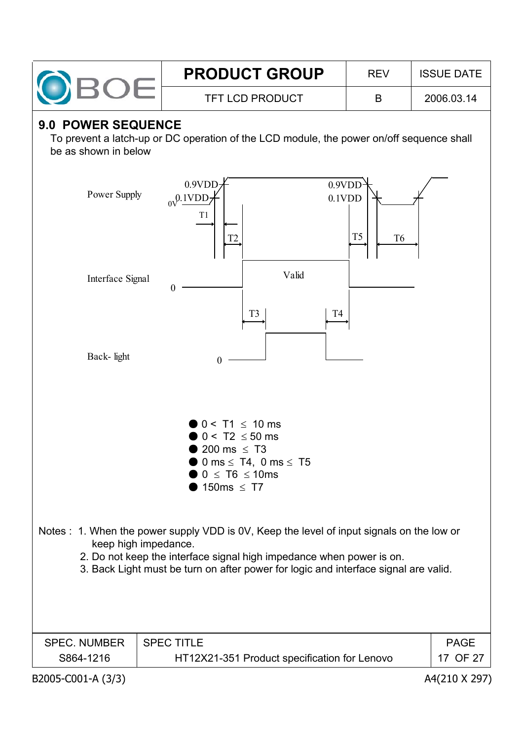

# **9.0 POWER SEQUENCE**

To prevent a latch-up or DC operation of the LCD module, the power on/off sequence shall be as shown in below

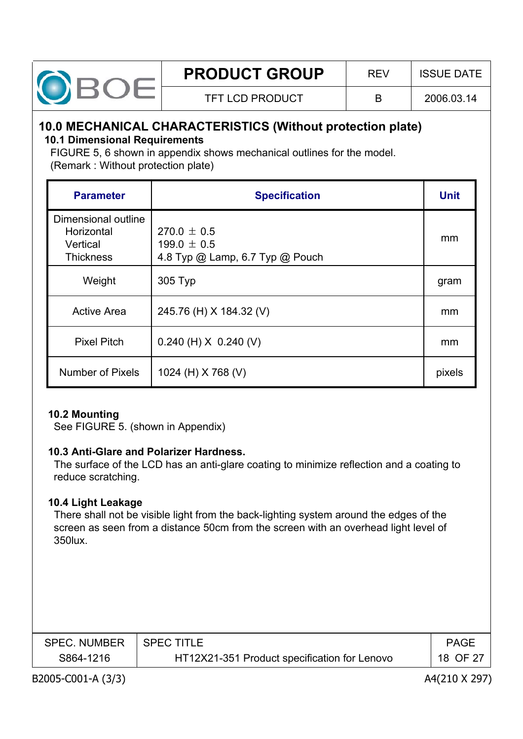

# **10.0 MECHANICAL CHARACTERISTICS (Without protection plate)**

#### **10.1 Dimensional Requirements**

FIGURE 5, 6 shown in appendix shows mechanical outlines for the model. (Remark : Without protection plate)

| <b>Parameter</b>                                                  | <b>Specification</b>                                                  | <b>Unit</b> |
|-------------------------------------------------------------------|-----------------------------------------------------------------------|-------------|
| Dimensional outline<br>Horizontal<br>Vertical<br><b>Thickness</b> | $270.0 \pm 0.5$<br>199.0 $\pm$ 0.5<br>4.8 Typ @ Lamp, 6.7 Typ @ Pouch | mm          |
| Weight                                                            | 305 Typ                                                               | gram        |
| <b>Active Area</b>                                                | 245.76 (H) X 184.32 (V)                                               | mm          |
| <b>Pixel Pitch</b>                                                | $0.240$ (H) $X$ 0.240 (V)                                             | mm          |
| <b>Number of Pixels</b>                                           | 1024 (H) X 768 (V)                                                    | pixels      |

#### **10.2 Mounting**

See FIGURE 5. (shown in Appendix)

#### **10.3 Anti-Glare and Polarizer Hardness.**

The surface of the LCD has an anti-glare coating to minimize reflection and a coating to reduce scratching.

#### **10.4 Light Leakage**

There shall not be visible light from the back-lighting system around the edges of the screen as seen from a distance 50cm from the screen with an overhead light level of 350lux.

| <b>SPEC. NUMBER</b> | <b>SPEC TITLE</b>                            | <b>PAGE</b> |
|---------------------|----------------------------------------------|-------------|
| S864-1216           | HT12X21-351 Product specification for Lenovo | 18 OF 27    |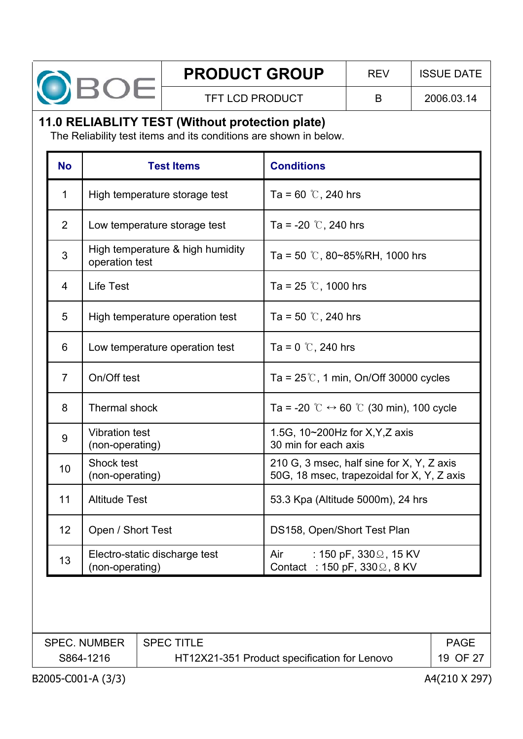

# **11.0 RELIABLITY TEST (Without protection plate)**

The Reliability test items and its conditions are shown in below.

| <b>No</b>      | <b>Test Items</b>                                  | <b>Conditions</b>                                                                       |
|----------------|----------------------------------------------------|-----------------------------------------------------------------------------------------|
| 1              | High temperature storage test                      | Ta = 60 $\degree$ C, 240 hrs                                                            |
| $\overline{2}$ | Low temperature storage test                       | Ta = -20 $\degree$ C, 240 hrs                                                           |
| 3              | High temperature & high humidity<br>operation test | Ta = 50 $\degree$ C, 80~85%RH, 1000 hrs                                                 |
| 4              | <b>Life Test</b>                                   | Ta = 25 $\degree$ C, 1000 hrs                                                           |
| 5              | High temperature operation test                    | Ta = 50 $\degree$ C, 240 hrs                                                            |
| 6              | Low temperature operation test                     | Ta = 0 $\degree$ C, 240 hrs                                                             |
| $\overline{7}$ | On/Off test                                        | Ta = $25\degree$ , 1 min, On/Off 30000 cycles                                           |
| 8              | Thermal shock                                      | Ta = -20 $\degree$ C $\leftrightarrow$ 60 $\degree$ C (30 min), 100 cycle               |
| 9              | <b>Vibration test</b><br>(non-operating)           | 1.5G, 10~200Hz for X, Y, Z axis<br>30 min for each axis                                 |
| 10             | Shock test<br>(non-operating)                      | 210 G, 3 msec, half sine for X, Y, Z axis<br>50G, 18 msec, trapezoidal for X, Y, Z axis |
| 11             | <b>Altitude Test</b>                               | 53.3 Kpa (Altitude 5000m), 24 hrs                                                       |
| 12             | Open / Short Test                                  | DS158, Open/Short Test Plan                                                             |
| 13             | Electro-static discharge test<br>(non-operating)   | : 150 pF, 330 $\Omega$ , 15 KV<br>Air<br>Contact : 150 pF, $330\Omega$ , 8 KV           |

| <b>SPEC. NUMBER</b> | <b>SPEC TITLE</b>                            | PAGE     |
|---------------------|----------------------------------------------|----------|
| S864-1216           | HT12X21-351 Product specification for Lenovo | 19 OF 27 |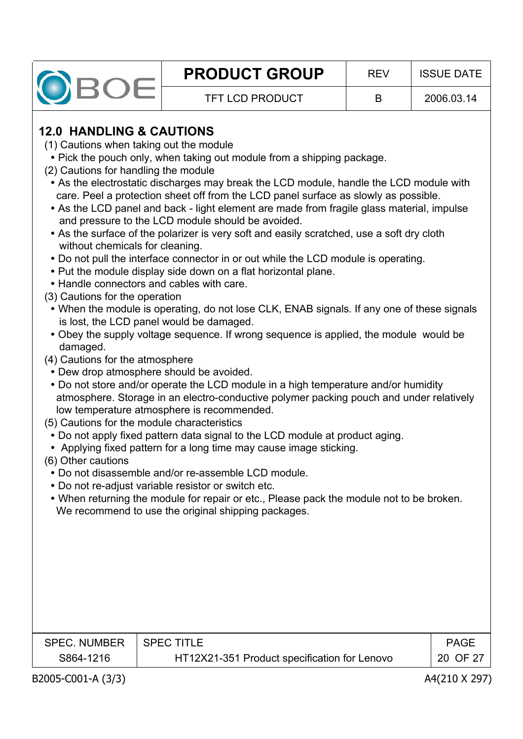

# **12.0 HANDLING & CAUTIONS**

- (1) Cautions when taking out the module
- Pick the pouch only, when taking out module from a shipping package.
- (2) Cautions for handling the module
- As the electrostatic discharges may break the LCD module, handle the LCD module with care. Peel a protection sheet off from the LCD panel surface as slowly as possible.
- As the LCD panel and back light element are made from fragile glass material, impulse and pressure to the LCD module should be avoided.
- As the surface of the polarizer is very soft and easily scratched, use a soft dry cloth without chemicals for cleaning.
- Do not pull the interface connector in or out while the LCD module is operating.
- Put the module display side down on a flat horizontal plane.
- Handle connectors and cables with care.
- (3) Cautions for the operation
	- When the module is operating, do not lose CLK, ENAB signals. If any one of these signals is lost, the LCD panel would be damaged.
	- Obey the supply voltage sequence. If wrong sequence is applied, the module would be damaged.
- (4) Cautions for the atmosphere
	- Dew drop atmosphere should be avoided.
	- Do not store and/or operate the LCD module in a high temperature and/or humidity atmosphere. Storage in an electro-conductive polymer packing pouch and under relatively low temperature atmosphere is recommended.
- (5) Cautions for the module characteristics
	- Do not apply fixed pattern data signal to the LCD module at product aging.
	- Applying fixed pattern for a long time may cause image sticking.
- (6) Other cautions
- Do not disassemble and/or re-assemble LCD module.
- Do not re-adjust variable resistor or switch etc.
- When returning the module for repair or etc., Please pack the module not to be broken. We recommend to use the original shipping packages.

| <b>SPEC. NUMBER</b> | I SPEC TITI E                                | PAGE     |
|---------------------|----------------------------------------------|----------|
| S864-1216           | HT12X21-351 Product specification for Lenovo | 20 OF 27 |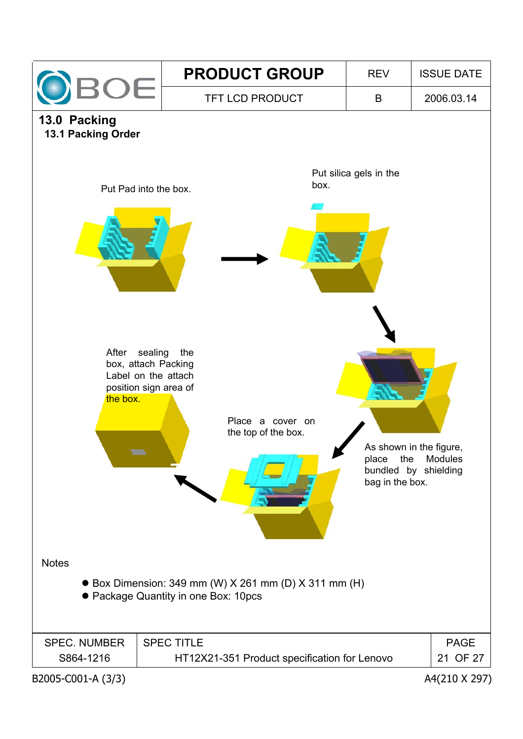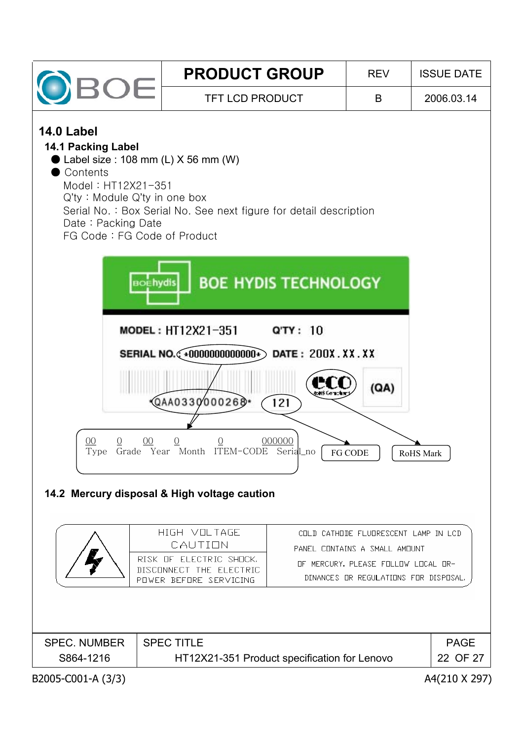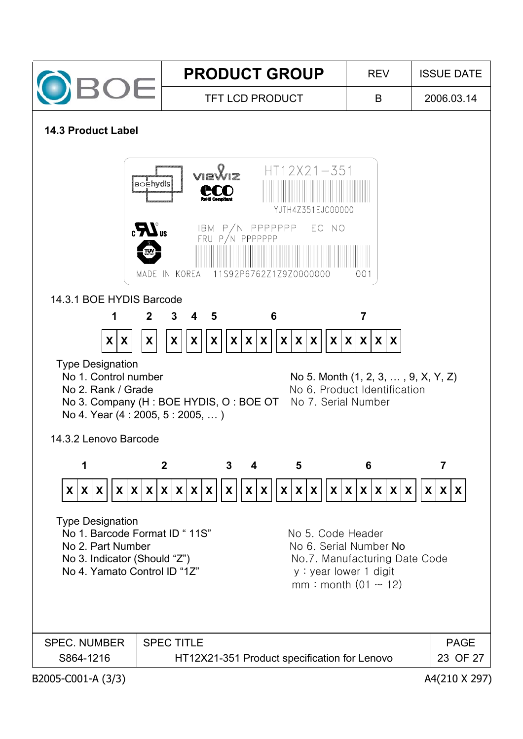

#### **14.3 Product Label**

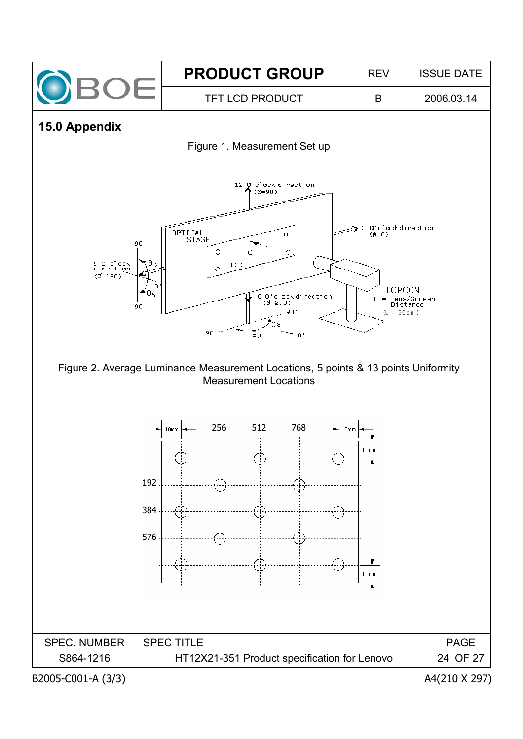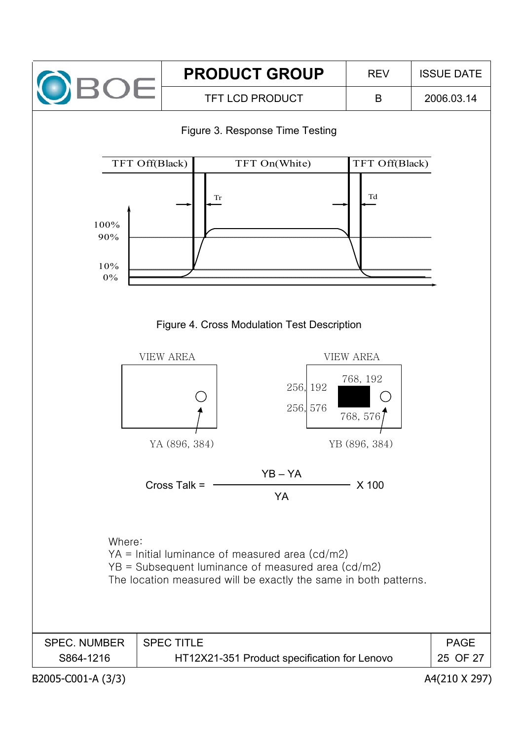







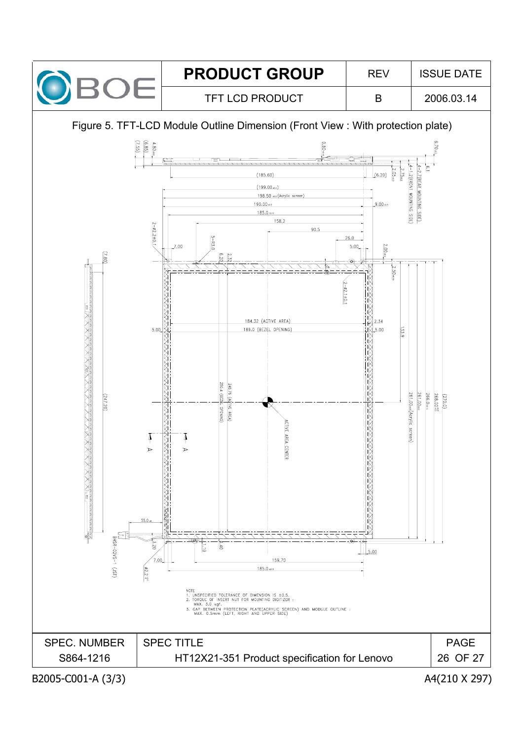![](_page_25_Picture_0.jpeg)

![](_page_25_Figure_5.jpeg)

![](_page_25_Figure_6.jpeg)